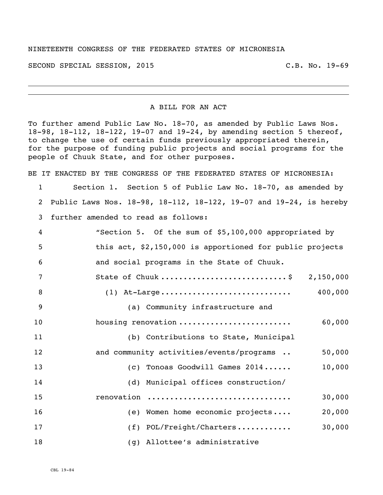## NINETEENTH CONGRESS OF THE FEDERATED STATES OF MICRONESIA

SECOND SPECIAL SESSION, 2015 C.B. No. 19-69

## A BILL FOR AN ACT

To further amend Public Law No. 18-70, as amended by Public Laws Nos. 18-98, 18-112, 18-122, 19-07 and 19-24, by amending section 5 thereof, to change the use of certain funds previously appropriated therein, for the purpose of funding public projects and social programs for the people of Chuuk State, and for other purposes.

BE IT ENACTED BY THE CONGRESS OF THE FEDERATED STATES OF MICRONESIA:

 Section 1. Section 5 of Public Law No. 18-70, as amended by Public Laws Nos. 18-98, 18-112, 18-122, 19-07 and 19-24, is hereby further amended to read as follows:

| $\overline{4}$ | "Section 5. Of the sum of \$5,100,000 appropriated by    |
|----------------|----------------------------------------------------------|
| - 5            | this act, \$2,150,000 is apportioned for public projects |
| - 6            | and social programs in the State of Chuuk.               |
|                | <b>2 150 000</b><br>$C+5+0$ of Church                    |

| (1) At-Large | 400,000 |
|--------------|---------|

| 9  | (a) Community infrastructure and         |        |
|----|------------------------------------------|--------|
| 10 | housing renovation                       | 60,000 |
| 11 | (b) Contributions to State, Municipal    |        |
| 12 | and community activities/events/programs | 50,000 |
| 13 | Tonoas Goodwill Games 2014<br>(C)        | 10,000 |
| 14 | (d) Municipal offices construction/      |        |
| 15 | renovation                               | 30,000 |
| 16 | (e) Women home economic projects         | 20,000 |
| 17 | (f) POL/Freight/Charters                 | 30,000 |
| 18 | (g) Allottee's administrative            |        |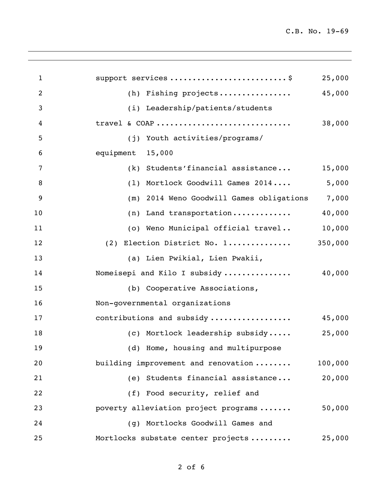| $\mathbf{1}$ | support services \$                      | 25,000  |
|--------------|------------------------------------------|---------|
| 2            | (h) Fishing projects                     | 45,000  |
| 3            | (i) Leadership/patients/students         |         |
| 4            | travel & COAP                            | 38,000  |
| 5            | (j) Youth activities/programs/           |         |
| 6            | equipment<br>15,000                      |         |
| 7            | $(k)$ Students' financial assistance     | 15,000  |
| 8            | (1) Mortlock Goodwill Games 2014         | 5,000   |
| 9            | (m) 2014 Weno Goodwill Games obligations | 7,000   |
| 10           | (n) Land transportation                  | 40,000  |
| 11           | (o) Weno Municipal official travel       | 10,000  |
| 12           | (2) Election District No. 1              | 350,000 |
| 13           | (a) Lien Pwikial, Lien Pwakii,           |         |
| 14           | Nomeisepi and Kilo I subsidy             | 40,000  |
| 15           | (b) Cooperative Associations,            |         |
| 16           | Non-governmental organizations           |         |
| 17           | contributions and subsidy                | 45,000  |
| 18           | (c) Mortlock leadership subsidy          | 25,000  |
| 19           | (d) Home, housing and multipurpose       |         |
| 20           | building improvement and renovation      | 100,000 |
| 21           | (e) Students financial assistance        | 20,000  |
| 22           | (f) Food security, relief and            |         |
| 23           | poverty alleviation project programs     | 50,000  |
| 24           | Mortlocks Goodwill Games and<br>(q)      |         |
| 25           | Mortlocks substate center projects       | 25,000  |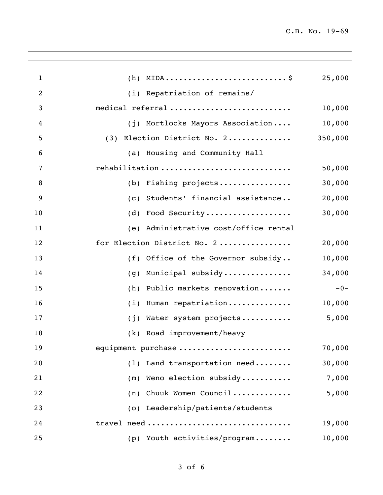| $\mathbf{1}$ |                                          | 25,000  |
|--------------|------------------------------------------|---------|
| 2            | (i) Repatriation of remains/             |         |
| 3            | medical referral                         | 10,000  |
| 4            | (j) Mortlocks Mayors Association         | 10,000  |
| 5            | (3) Election District No. 2              | 350,000 |
| 6            | (a) Housing and Community Hall           |         |
| 7            | rehabilitation                           | 50,000  |
| 8            | (b) Fishing projects                     | 30,000  |
| 9            | (c) Students' financial assistance       | 20,000  |
| 10           | (d) Food Security                        | 30,000  |
| 11           | Administrative cost/office rental<br>(e) |         |
| 12           | for Election District No. 2              | 20,000  |
| 13           | (f) Office of the Governor subsidy       | 10,000  |
| 14           | Municipal subsidy<br>(q)                 | 34,000  |
| 15           | Public markets renovation<br>(h)         | $-0-$   |
| 16           | Human repatriation<br>(i)                | 10,000  |
| 17           | Water system projects<br>(i)             | 5,000   |
| 18           | (k) Road improvement/heavy               |         |
| 19           | equipment purchase                       | 70,000  |
| 20           | (1) Land transportation need             | 30,000  |
| 21           | Weno election subsidy<br>(m)             | 7,000   |
| 22           | Chuuk Women Council<br>(n)               | 5,000   |
| 23           | (o) Leadership/patients/students         |         |
| 24           | travel need                              | 19,000  |
| 25           | (p) Youth activities/program             | 10,000  |
|              |                                          |         |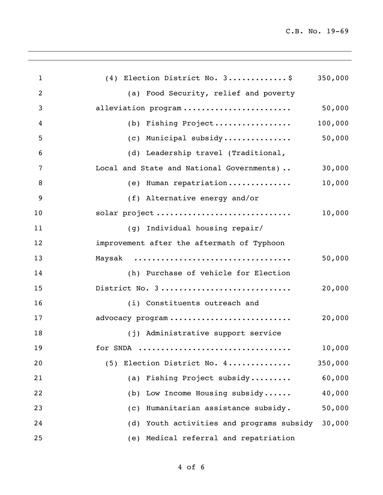| $\mathbf{1}$   | (4) Election District No. 3\$                          | 350,000 |
|----------------|--------------------------------------------------------|---------|
| $\overline{2}$ | (a) Food Security, relief and poverty                  |         |
| 3              | alleviation program                                    | 50,000  |
| 4              | (b) Fishing Project                                    | 100,000 |
| 5              | (c) Municipal subsidy                                  | 50,000  |
| 6              | (d) Leadership travel (Traditional,                    |         |
| 7              | Local and State and National Governments)              | 30,000  |
| 8              | (e) Human repatriation                                 | 10,000  |
| 9              | (f) Alternative energy and/or                          |         |
| 10             | solar project                                          | 10,000  |
| 11             | (g) Individual housing repair/                         |         |
| 12             | improvement after the aftermath of Typhoon             |         |
| 13             |                                                        | 50,000  |
| 14             | (h) Purchase of vehicle for Election                   |         |
| 15             | District No. 3                                         | 20,000  |
| 16             | (i) Constituents outreach and                          |         |
| 17             | advocacy program                                       | 20,000  |
| 18             | (j) Administrative support service                     |         |
| 19             | for SNDA                                               | 10,000  |
| 20             | (5) Election District No. 4                            | 350,000 |
| 21             | (a) Fishing Project subsidy                            | 60,000  |
| 22             | (b) Low Income Housing subsidy                         | 40,000  |
| 23             | Humanitarian assistance subsidy.<br>$\left( c \right)$ | 50,000  |
| 24             | (d) Youth activities and programs subsidy              | 30,000  |
| 25             | (e) Medical referral and repatriation                  |         |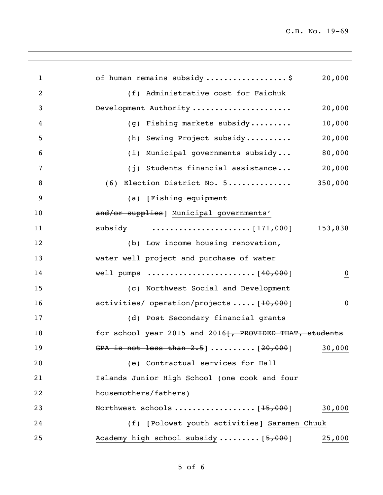| $\mathbf{1}$ | of human remains subsidy\$<br>20,000                                                            |
|--------------|-------------------------------------------------------------------------------------------------|
| 2            | (f) Administrative cost for Faichuk                                                             |
| 3            | Development Authority<br>20,000                                                                 |
| 4            | 10,000<br>(g) Fishing markets subsidy                                                           |
| 5            | 20,000<br>(h) Sewing Project subsidy                                                            |
| 6            | 80,000<br>(i) Municipal governments subsidy                                                     |
| 7            | 20,000<br>(j) Students financial assistance                                                     |
| 8            | 350,000<br>(6) Election District No. 5                                                          |
| 9            | (a) [Fishing equipment                                                                          |
| 10           | and/or supplies] Municipal governments'                                                         |
| 11           | subsidy $\ldots \ldots \ldots \ldots \ldots \ldots \hspace{1mm} [\frac{171}{17000}]$<br>153,838 |
| 12           | (b) Low income housing renovation,                                                              |
| 13           | water well project and purchase of water                                                        |
| 14           | $\overline{0}$                                                                                  |
| 15           | (c) Northwest Social and Development                                                            |
| 16           | activities/ operation/projects  [10,000]<br>$\overline{0}$                                      |
| 17           | (d) Post Secondary financial grants                                                             |
| 18           | for school year 2015 and 2016 [, PROVIDED THAT, students                                        |
| 19           | GPA is not less than $2.5$ ]  [20,000]<br>30,000                                                |
| 20           | (e) Contractual services for Hall                                                               |
| 21           | Islands Junior High School (one cook and four                                                   |
| 22           | housemothers/fathers)                                                                           |
| 23           | 30,000                                                                                          |
| 24           | (f) [Polowat youth activities] Saramen Chuuk                                                    |
| 25           | Academy high school subsidy  [5,000]<br>25,000                                                  |